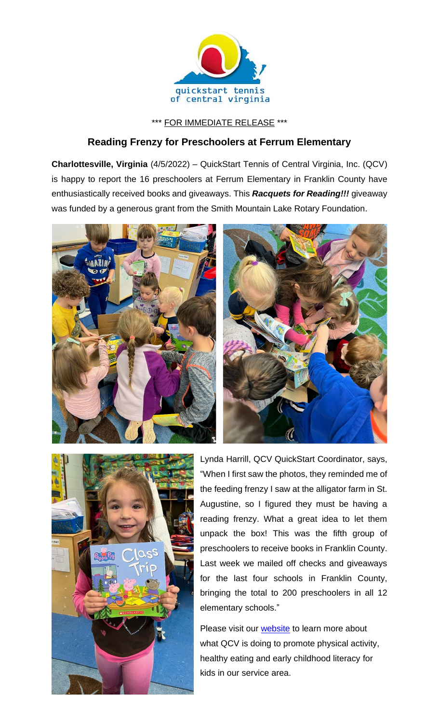

## \*\*\* FOR IMMEDIATE RELEASE \*\*\*

## **Reading Frenzy for Preschoolers at Ferrum Elementary**

**Charlottesville, Virginia** (4/5/2022) – QuickStart Tennis of Central Virginia, Inc. (QCV) is happy to report the 16 preschoolers at Ferrum Elementary in Franklin County have enthusiastically received books and giveaways. This *Racquets for Reading!!!* giveaway was funded by a generous grant from the Smith Mountain Lake Rotary Foundation.







Lynda Harrill, QCV QuickStart Coordinator, says, "When I first saw the photos, they reminded me of the feeding frenzy I saw at the alligator farm in St. Augustine, so I figured they must be having a reading frenzy. What a great idea to let them unpack the box! This was the fifth group of preschoolers to receive books in Franklin County. Last week we mailed off checks and giveaways for the last four schools in Franklin County, bringing the total to 200 preschoolers in all 12 elementary schools."

Please visit our [website](http://www.quickstartcentral.org/) to learn more about what QCV is doing to promote physical activity, healthy eating and early childhood literacy for kids in our service area.